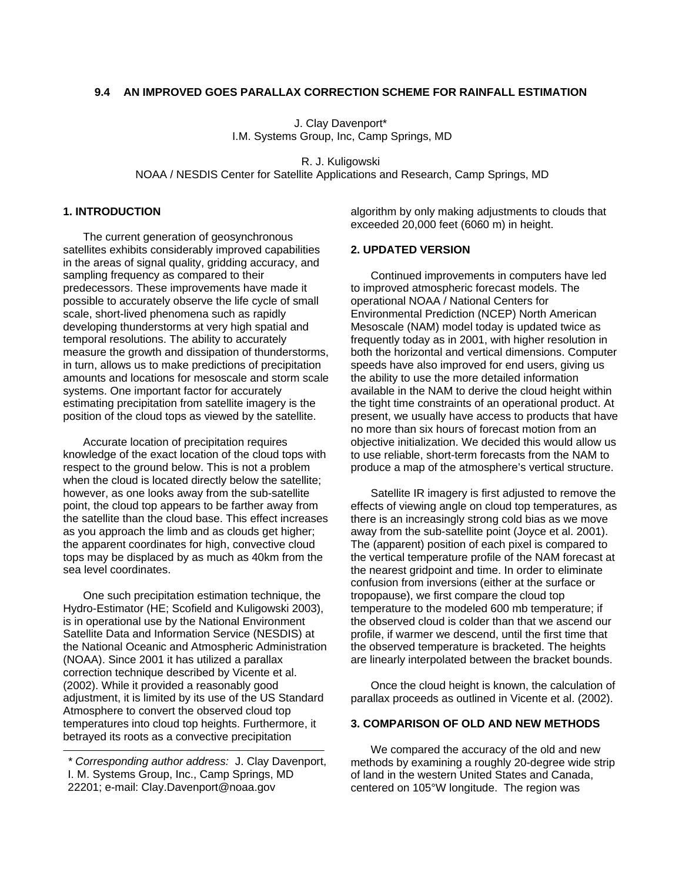## **9.4 AN IMPROVED GOES PARALLAX CORRECTION SCHEME FOR RAINFALL ESTIMATION**

J. Clay Davenport\* I.M. Systems Group, Inc, Camp Springs, MD

R. J. Kuligowski NOAA / NESDIS Center for Satellite Applications and Research, Camp Springs, MD

## **1. INTRODUCTION**

The current generation of geosynchronous satellites exhibits considerably improved capabilities in the areas of signal quality, gridding accuracy, and sampling frequency as compared to their predecessors. These improvements have made it possible to accurately observe the life cycle of small scale, short-lived phenomena such as rapidly developing thunderstorms at very high spatial and temporal resolutions. The ability to accurately measure the growth and dissipation of thunderstorms, in turn, allows us to make predictions of precipitation amounts and locations for mesoscale and storm scale systems. One important factor for accurately estimating precipitation from satellite imagery is the position of the cloud tops as viewed by the satellite.

Accurate location of precipitation requires knowledge of the exact location of the cloud tops with respect to the ground below. This is not a problem when the cloud is located directly below the satellite; however, as one looks away from the sub-satellite point, the cloud top appears to be farther away from the satellite than the cloud base. This effect increases as you approach the limb and as clouds get higher; the apparent coordinates for high, convective cloud tops may be displaced by as much as 40km from the sea level coordinates.

One such precipitation estimation technique, the Hydro-Estimator (HE; Scofield and Kuligowski 2003), is in operational use by the National Environment Satellite Data and Information Service (NESDIS) at the National Oceanic and Atmospheric Administration (NOAA). Since 2001 it has utilized a parallax correction technique described by Vicente et al. (2002). While it provided a reasonably good adjustment, it is limited by its use of the US Standard Atmosphere to convert the observed cloud top temperatures into cloud top heights. Furthermore, it betrayed its roots as a convective precipitation

algorithm by only making adjustments to clouds that exceeded 20,000 feet (6060 m) in height.

### **2. UPDATED VERSION**

Continued improvements in computers have led to improved atmospheric forecast models. The operational NOAA / National Centers for Environmental Prediction (NCEP) North American Mesoscale (NAM) model today is updated twice as frequently today as in 2001, with higher resolution in both the horizontal and vertical dimensions. Computer speeds have also improved for end users, giving us the ability to use the more detailed information available in the NAM to derive the cloud height within the tight time constraints of an operational product. At present, we usually have access to products that have no more than six hours of forecast motion from an objective initialization. We decided this would allow us to use reliable, short-term forecasts from the NAM to produce a map of the atmosphere's vertical structure.

Satellite IR imagery is first adjusted to remove the effects of viewing angle on cloud top temperatures, as there is an increasingly strong cold bias as we move away from the sub-satellite point (Joyce et al. 2001). The (apparent) position of each pixel is compared to the vertical temperature profile of the NAM forecast at the nearest gridpoint and time. In order to eliminate confusion from inversions (either at the surface or tropopause), we first compare the cloud top temperature to the modeled 600 mb temperature; if the observed cloud is colder than that we ascend our profile, if warmer we descend, until the first time that the observed temperature is bracketed. The heights are linearly interpolated between the bracket bounds.

Once the cloud height is known, the calculation of parallax proceeds as outlined in Vicente et al. (2002).

# **3. COMPARISON OF OLD AND NEW METHODS**

We compared the accuracy of the old and new methods by examining a roughly 20-degree wide strip of land in the western United States and Canada, centered on 105°W longitude. The region was

*<sup>\*</sup> Corresponding author address:* J. Clay Davenport, I. M. Systems Group, Inc., Camp Springs, MD 22201; e-mail: Clay.Davenport@noaa.gov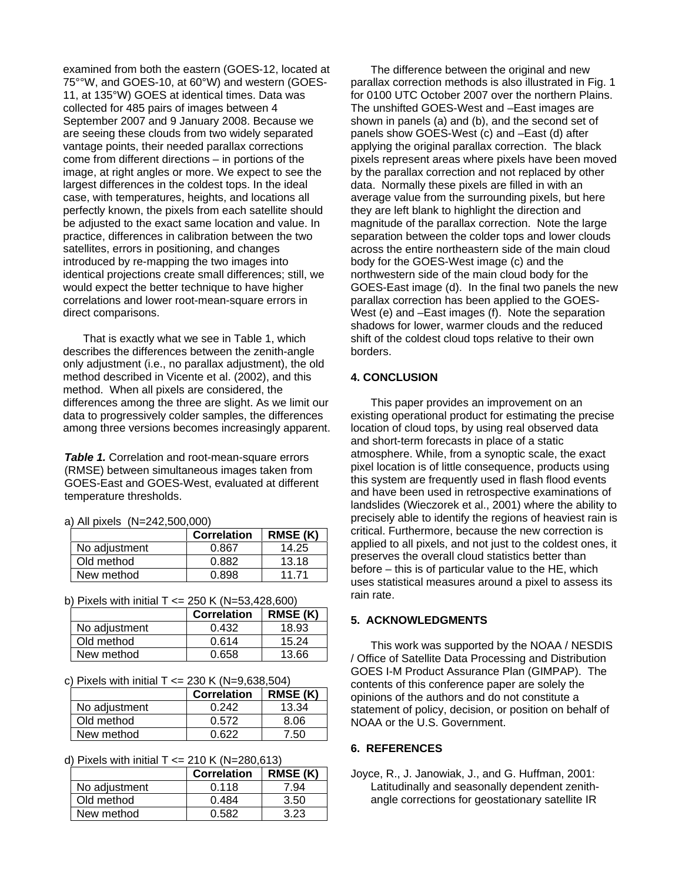examined from both the eastern (GOES-12, located at 75°°W, and GOES-10, at 60°W) and western (GOES-11, at 135°W) GOES at identical times. Data was collected for 485 pairs of images between 4 September 2007 and 9 January 2008. Because we are seeing these clouds from two widely separated vantage points, their needed parallax corrections come from different directions – in portions of the image, at right angles or more. We expect to see the largest differences in the coldest tops. In the ideal case, with temperatures, heights, and locations all perfectly known, the pixels from each satellite should be adjusted to the exact same location and value. In practice, differences in calibration between the two satellites, errors in positioning, and changes introduced by re-mapping the two images into identical projections create small differences; still, we would expect the better technique to have higher correlations and lower root-mean-square errors in direct comparisons.

That is exactly what we see in Table 1, which describes the differences between the zenith-angle only adjustment (i.e., no parallax adjustment), the old method described in Vicente et al. (2002), and this method. When all pixels are considered, the differences among the three are slight. As we limit our data to progressively colder samples, the differences among three versions becomes increasingly apparent.

*Table 1.* Correlation and root-mean-square errors (RMSE) between simultaneous images taken from GOES-East and GOES-West, evaluated at different temperature thresholds.

a) All pixels (N=242,500,000)

|               | Correlation | RMSE(K) |
|---------------|-------------|---------|
| No adjustment | 0.867       | 14.25   |
| Old method    | 0.882       | 13.18   |
| New method    | 0 898       | 11 71   |

b) Pixels with initial  $T \le 250$  K (N=53,428,600)

|               | Correlation | <b>RMSE (K)</b> |
|---------------|-------------|-----------------|
| No adjustment | 0.432       | 18.93           |
| Old method    | 0.614       | 15.24           |
| New method    | 0.658       | 13.66           |

c) Pixels with initial T <= 230 K (N=9,638,504)

|               | <b>Correlation</b> | <b>RMSE (K)</b> |
|---------------|--------------------|-----------------|
| No adjustment | 0.242              | 13.34           |
| Old method    | 0.572              | 8.06            |
| New method    | በ 622              | 7.50            |

d) Pixels with initial  $T \le 210$  K (N=280,613)

|               | <b>Correlation</b> | RMSE(K) |
|---------------|--------------------|---------|
| No adjustment | 0.118              | 7.94    |
| Old method    | 0.484              | 3.50    |
| New method    | በ 582              | 3.23    |

The difference between the original and new parallax correction methods is also illustrated in Fig. 1 for 0100 UTC October 2007 over the northern Plains. The unshifted GOES-West and –East images are shown in panels (a) and (b), and the second set of panels show GOES-West (c) and –East (d) after applying the original parallax correction. The black pixels represent areas where pixels have been moved by the parallax correction and not replaced by other data. Normally these pixels are filled in with an average value from the surrounding pixels, but here they are left blank to highlight the direction and magnitude of the parallax correction. Note the large separation between the colder tops and lower clouds across the entire northeastern side of the main cloud body for the GOES-West image (c) and the northwestern side of the main cloud body for the GOES-East image (d). In the final two panels the new parallax correction has been applied to the GOES-West (e) and –East images (f). Note the separation shadows for lower, warmer clouds and the reduced shift of the coldest cloud tops relative to their own borders.

### **4. CONCLUSION**

This paper provides an improvement on an existing operational product for estimating the precise location of cloud tops, by using real observed data and short-term forecasts in place of a static atmosphere. While, from a synoptic scale, the exact pixel location is of little consequence, products using this system are frequently used in flash flood events and have been used in retrospective examinations of landslides (Wieczorek et al., 2001) where the ability to precisely able to identify the regions of heaviest rain is critical. Furthermore, because the new correction is applied to all pixels, and not just to the coldest ones, it preserves the overall cloud statistics better than before – this is of particular value to the HE, which uses statistical measures around a pixel to assess its rain rate.

### **5. ACKNOWLEDGMENTS**

This work was supported by the NOAA / NESDIS / Office of Satellite Data Processing and Distribution GOES I-M Product Assurance Plan (GIMPAP). The contents of this conference paper are solely the opinions of the authors and do not constitute a statement of policy, decision, or position on behalf of NOAA or the U.S. Government.

## **6. REFERENCES**

Joyce, R., J. Janowiak, J., and G. Huffman, 2001: Latitudinally and seasonally dependent zenithangle corrections for geostationary satellite IR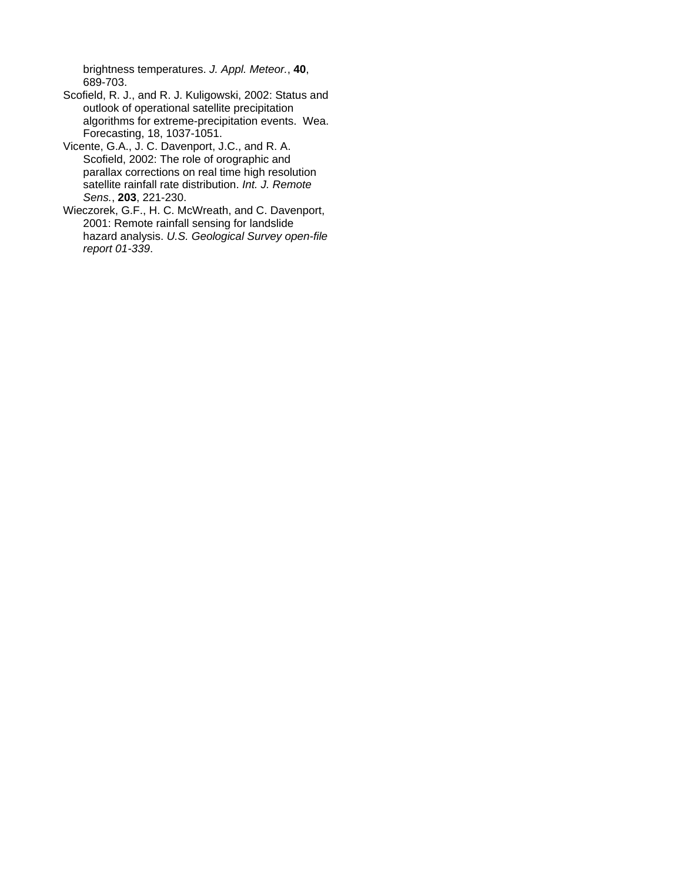brightness temperatures. *J. Appl. Meteor.*, **40**, 689-703.

- Scofield, R. J., and R. J. Kuligowski, 2002: Status and outlook of operational satellite precipitation algorithms for extreme-precipitation events. Wea. Forecasting, 18, 1037-1051.
- Vicente, G.A., J. C. Davenport, J.C., and R. A. Scofield, 2002: The role of orographic and parallax corrections on real time high resolution satellite rainfall rate distribution. *Int. J. Remote Sens.*, **203**, 221-230.
- Wieczorek, G.F., H. C. McWreath, and C. Davenport, 2001: Remote rainfall sensing for landslide hazard analysis. *U.S. Geological Survey open-file report 01-339*.